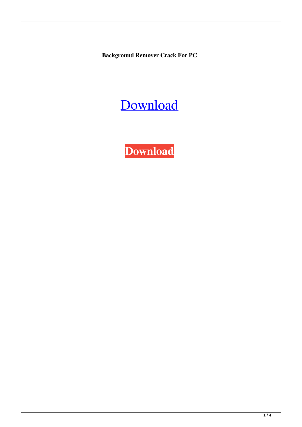**Background Remover Crack For PC**

# [Download](http://evacdir.com/albumins/attacker.ZG93bmxvYWR8RXY1Tld4ek5YeDhNVFkxTkRVeU1qRXhNSHg4TWpVM05IeDhLRTBwSUhKbFlXUXRZbXh2WnlCYlJtRnpkQ0JIUlU1ZA/QmFja2dyb3VuZCBSZW1vdmVyQmF/?kilowatts=snowstorm)

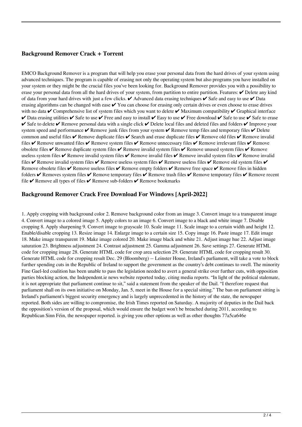### **Background Remover Crack + Torrent**

EMCO Background Remover is a program that will help you erase your personal data from the hard drives of your system using advanced techniques. The program is capable of erasing not only the operating system but also programs you have installed on your system or they might be the crucial files you've been looking for. Background Remover provides you with a possibility to erase your personal data from all the hard drives of your system, from partition to entire partition. Features:  $\checkmark$  Delete any kind of data from your hard drives with just a few clicks. ✔ Advanced data erasing techniques ✔ Safe and easy to use ✔ Data erasing algorithms can be changed with ease  $\vee$  You can choose for erasing only certain drives or even choose to erase drives with no data  $\vee$  Comprehensive list of system files which you want to delete  $\vee$  Maximum compatibility  $\vee$  Graphical interface  $\vee$  Data erasing utilities  $\vee$  Safe to use  $\vee$  Free and easy to install  $\vee$  Easy to use  $\vee$  Free download  $\vee$  Safe to use  $\vee$  Safe to erase  $\checkmark$  Safe to delete  $\checkmark$  Remove personal data with a single click  $\checkmark$  Delete local files and deleted files and folders  $\checkmark$  Improve your system speed and performance  $\vee$  Remove junk files from your system  $\vee$  Remove temp files and temporary files  $\vee$  Delete common and useful files  $\vee$  Remove duplicate files  $\vee$  Search and erase duplicate files  $\vee$  Remove old files  $\vee$  Remove invalid files  $\vee$  Remove unwanted files  $\vee$  Remove system files  $\vee$  Remove unnecessary files  $\vee$  Remove irrelevant files  $\vee$  Remove obsolete files  $\vee$  Remove duplicate system files  $\vee$  Remove invalid system files  $\vee$  Remove unused system files  $\vee$  Remove useless system files  $\vee$  Remove invalid system files  $\vee$  Remove invalid files  $\vee$  Remove invalid system files  $\vee$  Remove invalid files ✔ Remove invalid system files ✔ Remove useless system files ✔ Remove useless files ✔ Remove old system files ✔ Remove obsolete files  $\vee$  Remove useless files  $\vee$  Remove empty folders  $\vee$  Remove free space  $\vee$  Remove files in hidden folders  $\vee$  Removes system files  $\vee$  Remove temporary files  $\vee$  Remove temporary files  $\vee$  Remove recent file  $\vee$  Remove all types of files  $\vee$  Remove sub-folders  $\vee$  Remove bookmarks

#### **Background Remover Crack Free Download For Windows [April-2022]**

1. Apply cropping with background color 2. Remove background color from an image 3. Convert image to a transparent image 4. Convert image to a colored image 5. Apply colors to an image 6. Convert image to a black and white image 7. Disable cropping 8. Apply sharpening 9. Convert image to grayscale 10. Scale image 11. Scale image to a certain width and height 12. Enable/disable cropping 13. Resize image 14. Enlarge image to a certain size 15. Copy image 16. Paste image 17. Edit image 18. Make image transparent 19. Make image colored 20. Make image black and white 21. Adjust image hue 22. Adjust image saturation 23. Brightness adjustment 24. Contrast adjustment 25. Gamma adjustment 26. Save settings 27. Generate HTML code for cropping image 28. Generate HTML code for crop area selection 29. Generate HTML code for cropping result 30. Generate HTML code for cropping result Dec. 29 (Bloomberg) -- Leinster House, Ireland's parliament, will take a vote to block further spending cuts in the Republic of Ireland to support the government as the country's debt continues to swell. The minority Fine Gael-led coalition has been unable to pass the legislation needed to avert a general strike over further cuts, with opposition parties blocking action, the Independent.ie news website reported today, citing media reports. "In light of the political stalemate, it is not appropriate that parliament continue to sit," said a statement from the speaker of the Dail. "I therefore request that parliament shall on its own initiative on Monday, Jan. 5, meet in the House for a special sitting." The ban on parliament sitting is Ireland's parliament's biggest security emergency and is largely unprecedented in the history of the state, the newspaper reported. Both sides are willing to compromise, the Irish Times reported on Saturday. A majority of deputies in the Dail back the opposition's version of the proposal, which would ensure the budget won't be breached during 2011, according to Republican Sinn Féin, the newspaper reported. is giving you other options as well as other thoughts 77a5ca646e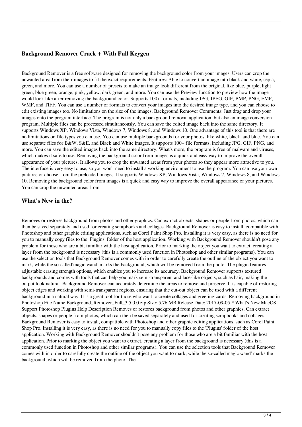#### **Background Remover Crack + With Full Keygen**

Background Remover is a free software designed for removing the background color from your images. Users can crop the unwanted area from their images to fit the exact requirements. Features: Able to convert an image into black and white, sepia, green, and more. You can use a number of presets to make an image look different from the original, like blue, purple, light green, blue green, orange, pink, yellow, dark green, and more. You can use the Preview function to preview how the image would look like after removing the background color. Supports 100+ formats, including JPG, JPEG, GIF, BMP, PNG, EMF, WMF, and TIFF. You can use a number of formats to convert your images into the desired image type, and you can choose to edit existing images too. No limitations on the size of the images. Background Remover Comments: Just drag and drop your images onto the program interface. The program is not only a background removal application, but also an image conversion program. Multiple files can be processed simultaneously. You can save the edited image back into the same directory. It supports Windows XP, Windows Vista, Windows 7, Windows 8, and Windows 10. One advantage of this tool is that there are no limitations on file types you can use. You can use multiple backgrounds for your photos, like white, black, and blue. You can use separate files for B&W, S&E, and Black and White images. It supports 100+ file formats, including JPG, GIF, PNG, and more. You can save the edited images back into the same directory. What's more, the program is free of malware and viruses, which makes it safe to use. Removing the background color from images is a quick and easy way to improve the overall appearance of your pictures. It allows you to crop the unwanted areas from your photos so they appear more attractive to you. The interface is very easy to use, so you won't need to install a working environment to use the program. You can use your own pictures or choose from the preloaded images. It supports Windows XP, Windows Vista, Windows 7, Windows 8, and Windows 10. Removing the background color from images is a quick and easy way to improve the overall appearance of your pictures. You can crop the unwanted areas from

#### **What's New in the?**

Removes or restores background from photos and other graphics. Can extract objects, shapes or people from photos, which can then be saved separately and used for creating scrapbooks and collages. Background Remover is easy to install, compatible with Photoshop and other graphic editing applications, such as Corel Paint Shop Pro. Installing it is very easy, as there is no need for you to manually copy files to the 'Plugins' folder of the host application. Working with Background Remover shouldn't pose any problem for those who are a bit familiar with the host application. Prior to marking the object you want to extract, creating a layer from the background is necessary (this is a commonly used function in Photoshop and other similar programs). You can use the selection tools that Background Remover comes with in order to carefully create the outline of the object you want to mark, while the so-called'magic wand' marks the background, which will be removed from the photo. The plugin features adjustable erasing strength options, which enables you to increase its accuracy. Background Remover supports textured backgrounds and comes with tools that can help you mark semi-transparent and lace-like objects, such as hair, making the output look natural. Background Remover can accurately determine the areas to remove and preserve. It is capable of restoring object edges and working with semi-transparent regions, ensuring that the cut-out object can be used with a different background in a natural way. It is a great tool for those who want to create collages and greeting-cards. Removing background in Photoshop File Name:Background\_Remover\_Full\_3.5.0.0.zip Size: 5.76 MB Release Date: 2017-09-05 \* What's New MacOS Support Photoshop Plugins Help Description Removes or restores background from photos and other graphics. Can extract objects, shapes or people from photos, which can then be saved separately and used for creating scrapbooks and collages. Background Remover is easy to install, compatible with Photoshop and other graphic editing applications, such as Corel Paint Shop Pro. Installing it is very easy, as there is no need for you to manually copy files to the 'Plugins' folder of the host application. Working with Background Remover shouldn't pose any problem for those who are a bit familiar with the host application. Prior to marking the object you want to extract, creating a layer from the background is necessary (this is a commonly used function in Photoshop and other similar programs). You can use the selection tools that Background Remover comes with in order to carefully create the outline of the object you want to mark, while the so-called'magic wand' marks the background, which will be removed from the photo. The